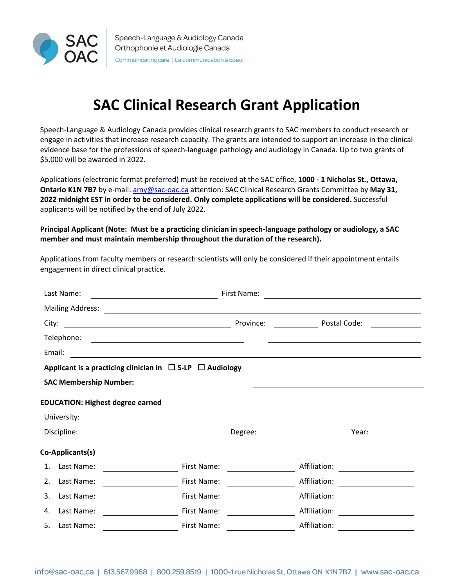

# **SAC Clinical Research Grant Application**

Speech-Language & Audiology Canada provides clinical research grants to SAC members to conduct research or engage in activities that increase research capacity. The grants are intended to support an increase in the clinical evidence base for the professions of speech-language pathology and audiology in Canada. Up to two grants of \$5,000 will be awarded in 2022.

Applications (electronic format preferred) must be received at the SAC office, **1000 - 1 Nicholas St., Ottawa, Ontario K1N 7B7** by e-mail: amy@sac-oac.ca attention: SAC Clinical Research Grants Committee by **May 31, 2022 midnight EST in order to be considered. Only complete applications will be considered.** Successful applicants will be notified by the end of July 2022.

**Principal Applicant (Note: Must be a practicing clinician in speech-language pathology or audiology, a SAC member and must maintain membership throughout the duration of the research).** 

Applications from faculty members or research scientists will only be considered if their appointment entails engagement in direct clinical practice.

| Last Name:                                                               | First Name: |              |       |  |  |
|--------------------------------------------------------------------------|-------------|--------------|-------|--|--|
| <b>Mailing Address:</b>                                                  |             |              |       |  |  |
| City:<br><u> 1980 - Johann Stoff, fransk politik (d. 1980)</u>           | Province:   | Postal Code: |       |  |  |
| Telephone:<br><u> 1989 - Johann Barbara, martxa alemaniar amerikan a</u> |             |              |       |  |  |
| Email:                                                                   |             |              |       |  |  |
| Applicant is a practicing clinician in $\Box$ S-LP $\Box$ Audiology      |             |              |       |  |  |
| <b>SAC Membership Number:</b>                                            |             |              |       |  |  |
| <b>EDUCATION: Highest degree earned</b>                                  |             |              |       |  |  |
| University:                                                              |             |              |       |  |  |
| Discipline:                                                              | Degree:     |              | Year: |  |  |
| Co-Applicants(s)                                                         |             |              |       |  |  |
| Last Name:<br>1.                                                         | First Name: | Affiliation: |       |  |  |
| Last Name:<br>2.                                                         | First Name: | Affiliation: |       |  |  |
| Last Name:<br>3.                                                         | First Name: | Affiliation: |       |  |  |
| Last Name:<br>4.                                                         | First Name: | Affiliation: |       |  |  |
| 5.<br>Last Name:                                                         | First Name: | Affiliation: |       |  |  |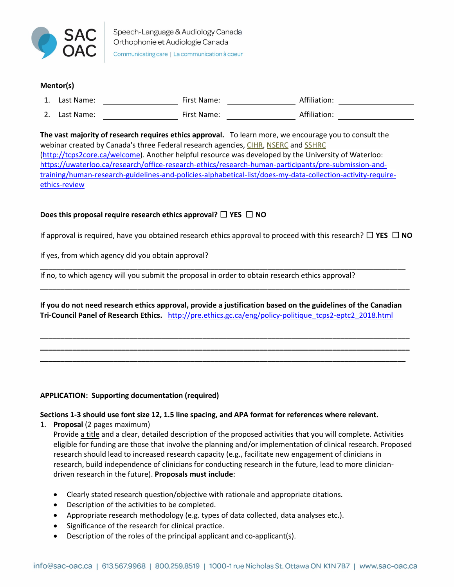

# **Mentor(s)**

| <b>.</b> | Last Name: | First Name: | Affiliation: |
|----------|------------|-------------|--------------|
| z.       | Last Name: | First Name: | Affiliation: |

**The vast majority of research requires ethics approval.** To learn more, we encourage you to consult the webinar created by Canada's three Federal research agencies, CIHR, NSERC and SSHRC (http://tcps2core.ca/welcome). Another helpful resource was developed by the University of Waterloo: https://uwaterloo.ca/research/office-research-ethics/research-human-participants/pre-submission-andtraining/human-research-guidelines-and-policies-alphabetical-list/does-my-data-collection-activity-requireethics-review

# **Does this proposal require research ethics approval?** ☐ **YES** ☐ **NO**

If approval is required, have you obtained research ethics approval to proceed with this research? ☐ **YES** ☐ **NO**

If yes, from which agency did you obtain approval?

If no, to which agency will you submit the proposal in order to obtain research ethics approval?

**If you do not need research ethics approval, provide a justification based on the guidelines of the Canadian Tri-Council Panel of Research Ethics.** http://pre.ethics.gc.ca/eng/policy-politique\_tcps2-eptc2\_2018.html

**\_\_\_\_\_\_\_\_\_\_\_\_\_\_\_\_\_\_\_\_\_\_\_\_\_\_\_\_\_\_\_\_\_\_\_\_\_\_\_\_\_\_\_\_\_\_\_\_\_\_\_\_\_\_\_\_\_\_\_\_\_\_\_\_\_\_\_\_\_\_\_\_\_\_\_\_\_\_\_\_\_\_\_\_\_\_\_\_\_\_\_ \_\_\_\_\_\_\_\_\_\_\_\_\_\_\_\_\_\_\_\_\_\_\_\_\_\_\_\_\_\_\_\_\_\_\_\_\_\_\_\_\_\_\_\_\_\_\_\_\_\_\_\_\_\_\_\_\_\_\_\_\_\_\_\_\_\_\_\_\_\_\_\_\_\_\_\_\_\_\_\_\_\_\_\_\_\_\_\_\_\_\_ \_\_\_\_\_\_\_\_\_\_\_\_\_\_\_\_\_\_\_\_\_\_\_\_\_\_\_\_\_\_\_\_\_\_\_\_\_\_\_\_\_\_\_\_\_\_\_\_\_\_\_\_\_\_\_\_\_\_\_\_\_\_\_\_\_\_\_\_\_\_\_\_\_\_\_\_\_\_\_\_\_\_\_\_\_\_\_\_\_\_**

\_\_\_\_\_\_\_\_\_\_\_\_\_\_\_\_\_\_\_\_\_\_\_\_\_\_\_\_\_\_\_\_\_\_\_\_\_\_\_\_\_\_\_\_\_\_\_\_\_\_\_\_\_\_\_\_\_\_\_\_\_\_\_\_\_\_\_\_\_\_\_\_\_\_\_\_\_\_\_\_\_\_\_\_\_\_\_\_\_\_

\_\_\_\_\_\_\_\_\_\_\_\_\_\_\_\_\_\_\_\_\_\_\_\_\_\_\_\_\_\_\_\_\_\_\_\_\_\_\_\_\_\_\_\_\_\_\_\_\_\_\_\_\_\_\_\_\_\_\_\_\_\_\_\_\_\_\_\_\_\_\_\_\_\_\_\_\_\_\_\_\_\_\_\_\_\_\_\_\_\_\_

#### **APPLICATION: Supporting documentation (required)**

# **Sections 1-3 should use font size 12, 1.5 line spacing, and APA format for references where relevant.**

1. **Proposal** (2 pages maximum)

Provide a title and a clear, detailed description of the proposed activities that you will complete. Activities eligible for funding are those that involve the planning and/or implementation of clinical research. Proposed research should lead to increased research capacity (e.g., facilitate new engagement of clinicians in research, build independence of clinicians for conducting research in the future, lead to more cliniciandriven research in the future). **Proposals must include**:

- Clearly stated research question/objective with rationale and appropriate citations.
- Description of the activities to be completed.
- Appropriate research methodology (e.g. types of data collected, data analyses etc.).
- Significance of the research for clinical practice.
- Description of the roles of the principal applicant and co-applicant(s).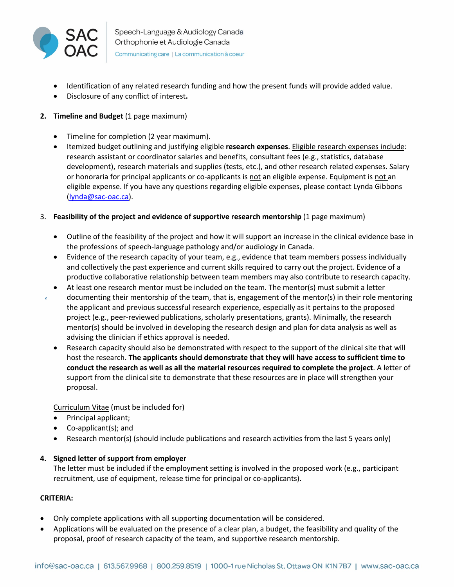

- Identification of any related research funding and how the present funds will provide added value.
- Disclosure of any conflict of interest**.**

# **2. Timeline and Budget** (1 page maximum)

- Timeline for completion (2 year maximum).
- Itemized budget outlining and justifying eligible **research expenses**. Eligible research expenses include: research assistant or coordinator salaries and benefits, consultant fees (e.g., statistics, database development), research materials and supplies (tests, etc.), and other research related expenses. Salary or honoraria for principal applicants or co-applicants is not an eligible expense. Equipment is not an eligible expense. If you have any questions regarding eligible expenses, please contact Lynda Gibbons (lynda@sac-oac.ca).
- 3. **Feasibility of the project and evidence of supportive research mentorship** (1 page maximum)
	- Outline of the feasibility of the project and how it will support an increase in the clinical evidence base in the professions of speech-language pathology and/or audiology in Canada.
	- Evidence of the research capacity of your team, e.g., evidence that team members possess individually and collectively the past experience and current skills required to carry out the project. Evidence of a productive collaborative relationship between team members may also contribute to research capacity.
	- At least one research mentor must be included on the team. The mentor(s) must submit a letter documenting their mentorship of the team, that is, engagement of the mentor(s) in their role mentoring
	- the applicant and previous successful research experience, especially as it pertains to the proposed project (e.g., peer-reviewed publications, scholarly presentations, grants). Minimally, the research mentor(s) should be involved in developing the research design and plan for data analysis as well as advising the clinician if ethics approval is needed.
	- Research capacity should also be demonstrated with respect to the support of the clinical site that will host the research. **The applicants should demonstrate that they will have access to sufficient time to conduct the research as well as all the material resources required to complete the project**. A letter of support from the clinical site to demonstrate that these resources are in place will strengthen your proposal.

Curriculum Vitae (must be included for)

- Principal applicant;
- Co-applicant(s); and
- Research mentor(s) (should include publications and research activities from the last 5 years only)

# **4. Signed letter of support from employer**

The letter must be included if the employment setting is involved in the proposed work (e.g., participant recruitment, use of equipment, release time for principal or co-applicants).

# **CRITERIA:**

 $\epsilon$ 

- Only complete applications with all supporting documentation will be considered.
- Applications will be evaluated on the presence of a clear plan, a budget, the feasibility and quality of the proposal, proof of research capacity of the team, and supportive research mentorship.